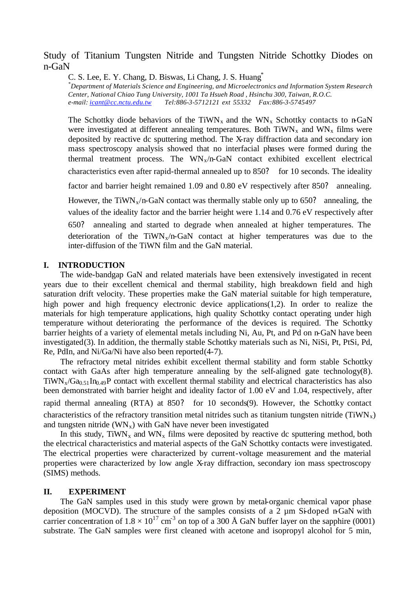# Study of Titanium Tungsten Nitride and Tungsten Nitride Schottky Diodes on n-GaN

C. S. Lee, E. Y. Chang, D. Biswas, Li Chang, J. S. Huang\*

*\*Department of Materials Science and Engineering, and Microelectronics and Information System Research Center, National Chiao Tung University, 1001 Ta Hsueh Road , Hsinchu 300, Taiwan, R.O.C. e-mail: icant@cc.nctu.edu.tw Tel:886-3-5712121 ext 55332 Fax:886-3-5745497*

The Schottky diode behaviors of the TiWN<sub>x</sub> and the WN<sub>x</sub> Schottky contacts to n-GaN were investigated at different annealing temperatures. Both  $TiWN_x$  and  $WN_x$  films were deposited by reactive dc sputtering method. The X-ray diffraction data and secondary ion mass spectroscopy analysis showed that no interfacial phases were formed during the thermal treatment process. The  $WN_x/n-GaN$  contact exhibited excellent electrical characteristics even after rapid-thermal annealed up to 850? for 10 seconds. The ideality

factor and barrier height remained 1.09 and 0.80 eV respectively after 850? annealing.

However, the TiWN<sub>x</sub>/n-GaN contact was thermally stable only up to 650? annealing, the values of the ideality factor and the barrier height were 1.14 and 0.76 eV respectively after 650? annealing and started to degrade when annealed at higher temperatures. The deterioration of the TiWN<sub>x</sub>/n-GaN contact at higher temperatures was due to the inter-diffusion of the TiWN film and the GaN material.

## **I. INTRODUCTION**

The wide-bandgap GaN and related materials have been extensively investigated in recent years due to their excellent chemical and thermal stability, high breakdown field and high saturation drift velocity. These properties make the GaN material suitable for high temperature, high power and high frequency electronic device applications(1,2). In order to realize the materials for high temperature applications, high quality Schottky contact operating under high temperature without deteriorating the performance of the devices is required. The Schottky barrier heights of a variety of elemental metals including Ni, Au, Pt, and Pd on n-GaN have been investigated(3). In addition, the thermally stable Schottky materials such as Ni, NiSi, Pt, PtSi, Pd, Re, PdIn, and Ni/Ga/Ni have also been reported(4-7).

The refractory metal nitrides exhibit excellent thermal stability and form stable Schottky contact with GaAs after high temperature annealing by the self-aligned gate technology(8).  $TiWN<sub>x</sub>/Ga<sub>0.51</sub> In<sub>0.49</sub>P$  contact with excellent thermal stability and electrical characteristics has also been demonstrated with barrier height and ideality factor of 1.00 eV and 1.04, respectively, after rapid thermal annealing (RTA) at 850? for 10 seconds(9). However, the Schottky contact characteristics of the refractory transition metal nitrides such as titanium tungsten nitride (TiWN<sub>x</sub>) and tungsten nitride  $(WN_x)$  with GaN have never been investigated

In this study, TiWN<sub>x</sub> and WN<sub>x</sub> films were deposited by reactive dc sputtering method, both the electrical characteristics and material aspects of the GaN Schottky contacts were investigated. The electrical properties were characterized by current-voltage measurement and the material properties were characterized by low angle X-ray diffraction, secondary ion mass spectroscopy (SIMS) methods.

## **II. EXPERIMENT**

The GaN samples used in this study were grown by metal-organic chemical vapor phase deposition (MOCVD). The structure of the samples consists of a 2 µm Si-doped n-GaN with carrier concentration of  $1.8 \times 10^{17}$  cm<sup>-3</sup> on top of a 300 Å GaN buffer layer on the sapphire (0001) substrate. The GaN samples were first cleaned with acetone and isopropyl alcohol for 5 min,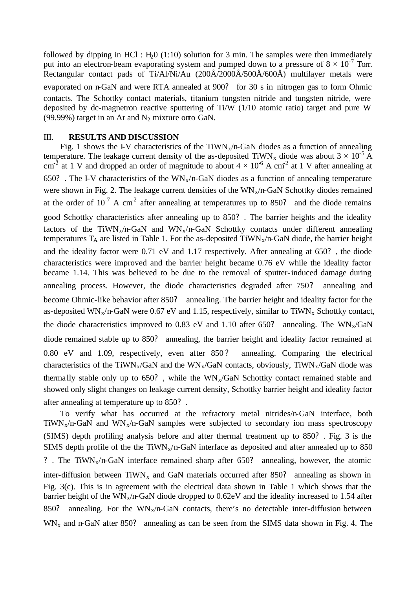followed by dipping in HCl :  $H_0(1:10)$  solution for 3 min. The samples were then immediately put into an electron-beam evaporating system and pumped down to a pressure of  $8 \times 10^{-7}$  Torr. Rectangular contact pads of Ti/Al/Ni/Au (200Å/2000Å/500Å/600Å) multilayer metals were evaporated on n-GaN and were RTA annealed at 900? for 30 s in nitrogen gas to form Ohmic contacts. The Schottky contact materials, titanium tungsten nitride and tungsten nitride, were deposited by dc-magnetron reactive sputtering of Ti/W (1/10 atomic ratio) target and pure W (99.99%) target in an Ar and  $N_2$  mixture onto GaN.

# III. **RESULTS AND DISCUSSION**

Fig. 1 shows the I-V characteristics of the TiWN<sub>x</sub>/n-GaN diodes as a function of annealing temperature. The leakage current density of the as-deposited TiWN<sub>x</sub> diode was about  $3 \times 10^{-5}$  A cm<sup>-2</sup> at 1 V and dropped an order of magnitude to about  $4 \times 10^{-6}$  A cm<sup>-2</sup> at 1 V after annealing at 650? . The I-V characteristics of the  $WN_x/n-GaN$  diodes as a function of annealing temperature were shown in Fig. 2. The leakage current densities of the  $WN_x/n-GaN$  Schottky diodes remained at the order of  $10^{-7}$  A cm<sup>-2</sup> after annealing at temperatures up to 850? and the diode remains good Schottky characteristics after annealing up to 850? . The barrier heights and the ideality factors of the TiWN<sub>x</sub>/n-GaN and WN<sub>x</sub>/n-GaN Schottky contacts under different annealing temperatures  $T_A$  are listed in Table 1. For the as-deposited TiWN<sub>x</sub>/n-GaN diode, the barrier height and the ideality factor were 0.71 eV and 1.17 respectively. After annealing at 650? , the diode characteristics were improved and the barrier height became 0.76 eV while the ideality factor became 1.14. This was believed to be due to the removal of sputter-induced damage during annealing process. However, the diode characteristics degraded after 750? annealing and become Ohmic-like behavior after 850? annealing. The barrier height and ideality factor for the as-deposited WN<sub>x</sub>/n-GaN were 0.67 eV and 1.15, respectively, similar to TiWN<sub>x</sub> Schottky contact, the diode characteristics improved to 0.83 eV and 1.10 after 650? annealing. The  $WN_x/GaN$ diode remained stable up to 850? annealing, the barrier height and ideality factor remained at 0.80 eV and 1.09, respectively, even after 850 ? annealing. Comparing the electrical characteristics of the TiWN<sub>x</sub>/GaN and the WN<sub>x</sub>/GaN contacts, obviously, TiWN<sub>x</sub>/GaN diode was thermally stable only up to  $650$ ?, while the  $WN_x/GaN$  Schottky contact remained stable and showed only slight changes on leakage current density, Schottky barrier height and ideality factor after annealing at temperature up to 850? .

To verify what has occurred at the refractory metal nitrides/n-GaN interface, both TiWN<sub>x</sub>/n-GaN and WN<sub>x</sub>/n-GaN samples were subjected to secondary ion mass spectroscopy (SIMS) depth profiling analysis before and after thermal treatment up to 850? . Fig. 3 is the SIMS depth profile of the the TiWN<sub>x</sub>/n-GaN interface as deposited and after annealed up to 850 ? The TiWN<sub>x</sub>/n-GaN interface remained sharp after 650? annealing, however, the atomic inter-diffusion between  $TiWN_x$  and GaN materials occurred after 850? annealing as shown in Fig. 3(c). This is in agreement with the electrical data shown in Table 1 which shows that the barrier height of the WN<sub>x</sub>/n-GaN diode dropped to  $0.62$ eV and the ideality increased to 1.54 after 850? annealing. For the  $WN_x/n-GaN$  contacts, there's no detectable inter-diffusion between  $WN_x$  and n-GaN after 850? annealing as can be seen from the SIMS data shown in Fig. 4. The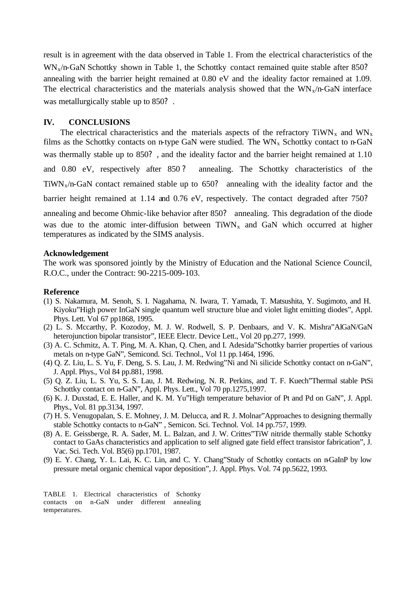result is in agreement with the data observed in Table 1. From the electrical characteristics of the WN<sub>x</sub>/n-GaN Schottky shown in Table 1, the Schottky contact remained quite stable after 850? annealing with the barrier height remained at 0.80 eV and the ideality factor remained at 1.09. The electrical characteristics and the materials analysis showed that the  $WN_x/n-GaN$  interface was metallurgically stable up to 850?.

#### **IV. CONCLUSIONS**

The electrical characteristics and the materials aspects of the refractory TiWN<sub>x</sub> and WN<sub>x</sub> films as the Schottky contacts on n-type GaN were studied. The  $WN_x$  Schottky contact to n-GaN was thermally stable up to 850? , and the ideality factor and the barrier height remained at 1.10 and 0.80 eV, respectively after 850 ? annealing. The Schottky characteristics of the TiWN<sub>x</sub>/n-GaN contact remained stable up to  $650$ ? annealing with the ideality factor and the barrier height remained at 1.14 and 0.76 eV, respectively. The contact degraded after 750? annealing and become Ohmic-like behavior after 850? annealing. This degradation of the diode was due to the atomic inter-diffusion between  $TiWN<sub>x</sub>$  and GaN which occurred at higher temperatures as indicated by the SIMS analysis.

#### **Acknowledgement**

The work was sponsored jointly by the Ministry of Education and the National Science Council, R.O.C., under the Contract: 90-2215-009-103.

#### **Reference**

- (1) S. Nakamura, M. Senoh, S. I. Nagahama, N. Iwara, T. Yamada, T. Matsushita, Y. Sugimoto, and H. Kiyoku"High power InGaN single quantum well structure blue and violet light emitting diodes", Appl. Phys. Lett. Vol 67 pp1868, 1995.
- (2) L. S. Mccarthy, P. Kozodoy, M. J. W. Rodwell, S. P. Denbaars, and V. K. Mishra"AlGaN/GaN heterojunction bipolar transistor", IEEE Electr. Device Lett., Vol 20 pp.277, 1999.
- (3) A. C. Schmitz, A. T. Ping, M. A. Khan, Q. Chen, and I. Adesida"Schottky barrier properties of various metals on n-type GaN", Semicond. Sci. Technol., Vol 11 pp.1464, 1996.
- (4) Q. Z. Liu, L. S. Yu, F. Deng, S. S. Lau, J. M. Redwing"Ni and Ni silicide Schottky contact on n-GaN", J. Appl. Phys., Vol 84 pp.881, 1998.
- (5) Q. Z. Liu, L. S. Yu, S. S. Lau, J. M. Redwing, N. R. Perkins, and T. F. Kuech"Thermal stable PtSi Schottky contact on n-GaN", Appl. Phys. Lett., Vol 70 pp.1275,1997.
- (6) K. J. Duxstad, E. E. Haller, and K. M. Yu"High temperature behavior of Pt and Pd on GaN", J. Appl. Phys., Vol. 81 pp.3134, 1997.
- (7) H. S. Venugopalan, S. E. Mohney, J. M. Delucca, and R. J. Molnar"Approaches to designing thermally stable Schottky contacts to n-GaN" , Semicon. Sci. Technol. Vol. 14 pp.757, 1999.
- (8) A. E. Geissberge, R. A. Sader, M. L. Balzan, and J. W. Crittes"TiW nitride thermally stable Schottky contact to GaAs characteristics and application to self aligned gate field effect transistor fabrication", J. Vac. Sci. Tech. Vol. B5(6) pp.1701, 1987.
- (9) E. Y. Chang, Y. L. Lai, K. C. Lin, and C. Y. Chang"Study of Schottky contacts on n-GaInP by low pressure metal organic chemical vapor deposition", J. Appl. Phys. Vol. 74 pp.5622, 1993.

TABLE 1. Electrical characteristics of Schottky contacts on n-GaN under different annealing temperatures.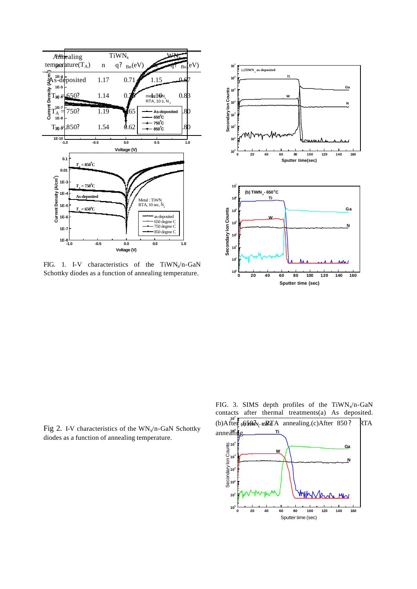

FIG. 1. I-V characteristics of the TiWN $_{\rm v}/\text{n-GaN}$ Schottky diodes as a function of annealing temperature.



Fig 2. I-V characteristics of the  $WN_x/n-GaN$  Schottky diodes as a function of annealing temperature.



FIG. 3. SIMS depth profiles of the TiWN $<sub>x</sub>/n-GaN$ </sub> contacts after thermal treatments(a) As deposited.